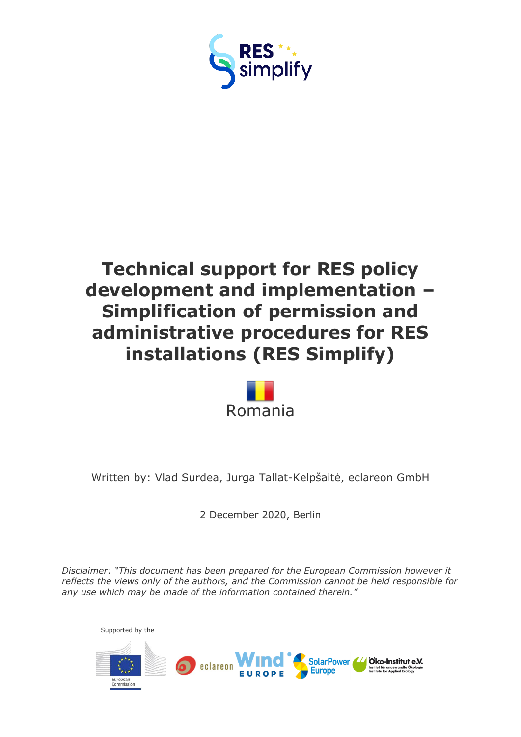



Written by: Vlad Surdea, Jurga Tallat-Kelpšaitė, eclareon GmbH

2 December 2020, Berlin

*Disclaimer: "This document has been prepared for the European Commission however it reflects the views only of the authors, and the Commission cannot be held responsible for any use which may be made of the information contained therein."*

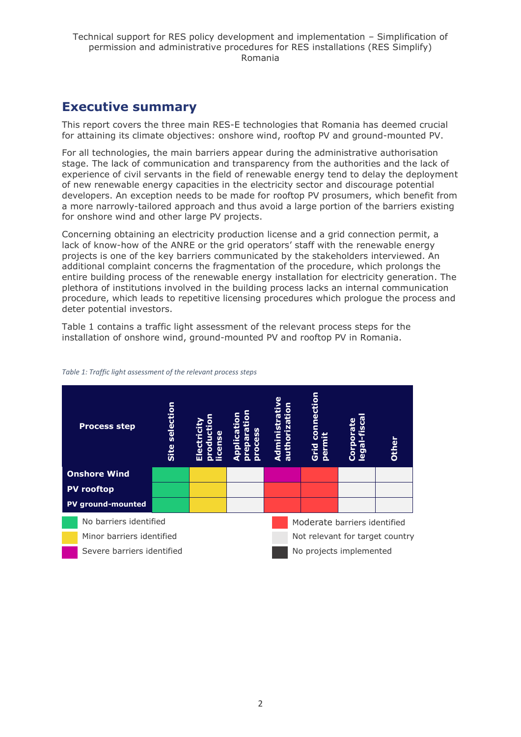### <span id="page-1-0"></span>**Executive summary**

This report covers the three main RES-E technologies that Romania has deemed crucial for attaining its climate objectives: onshore wind, rooftop PV and ground-mounted PV.

For all technologies, the main barriers appear during the administrative authorisation stage. The lack of communication and transparency from the authorities and the lack of experience of civil servants in the field of renewable energy tend to delay the deployment of new renewable energy capacities in the electricity sector and discourage potential developers. An exception needs to be made for rooftop PV prosumers, which benefit from a more narrowly-tailored approach and thus avoid a large portion of the barriers existing for onshore wind and other large PV projects.

Concerning obtaining an electricity production license and a grid connection permit, a lack of know-how of the ANRE or the grid operators' staff with the renewable energy projects is one of the key barriers communicated by the stakeholders interviewed. An additional complaint concerns the fragmentation of the procedure, which prolongs the entire building process of the renewable energy installation for electricity generation. The plethora of institutions involved in the building process lacks an internal communication procedure, which leads to repetitive licensing procedures which prologue the process and deter potential investors.

Table 1 contains a traffic light assessment of the relevant process steps for the installation of onshore wind, ground-mounted PV and rooftop PV in Romania.

|                          | <b>Process step</b>        | selection<br>Site | roducti<br>cense<br>lectri<br>m | U<br><b>Cess</b><br>╘<br>eoa<br><b>B</b><br>ĕ | ction<br>Ō<br>Ĕ<br>Ō<br><b>Grid</b><br><u>ត្ថ</u> | Ω<br><b>IQ</b><br>ဥ္မာ | Dther                           |
|--------------------------|----------------------------|-------------------|---------------------------------|-----------------------------------------------|---------------------------------------------------|------------------------|---------------------------------|
|                          | <b>Onshore Wind</b>        |                   |                                 |                                               |                                                   |                        |                                 |
|                          | <b>PV</b> rooftop          |                   |                                 |                                               |                                                   |                        |                                 |
| <b>PV</b> ground-mounted |                            |                   |                                 |                                               |                                                   |                        |                                 |
|                          | No barriers identified     |                   |                                 |                                               | Moderate barriers identified                      |                        |                                 |
|                          | Minor barriers identified  |                   |                                 |                                               |                                                   |                        | Not relevant for target country |
|                          | Severe barriers identified |                   |                                 |                                               | No projects implemented                           |                        |                                 |

#### *Table 1: Traffic light assessment of the relevant process steps*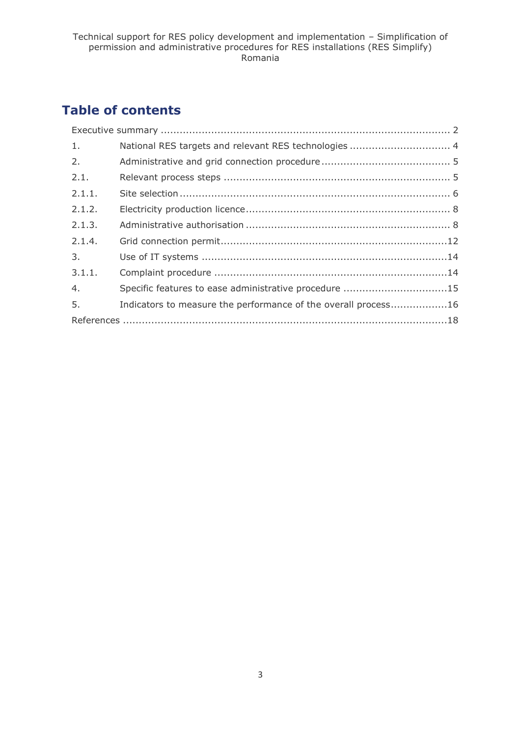# **Table of contents**

| 1.     | National RES targets and relevant RES technologies  4          |
|--------|----------------------------------------------------------------|
| 2.     |                                                                |
| 2.1.   |                                                                |
| 2.1.1. |                                                                |
| 2.1.2. |                                                                |
| 2.1.3. |                                                                |
| 2.1.4. |                                                                |
| 3.     |                                                                |
| 3.1.1. |                                                                |
| 4.     | Specific features to ease administrative procedure 15          |
| 5.     | Indicators to measure the performance of the overall process16 |
|        |                                                                |
|        |                                                                |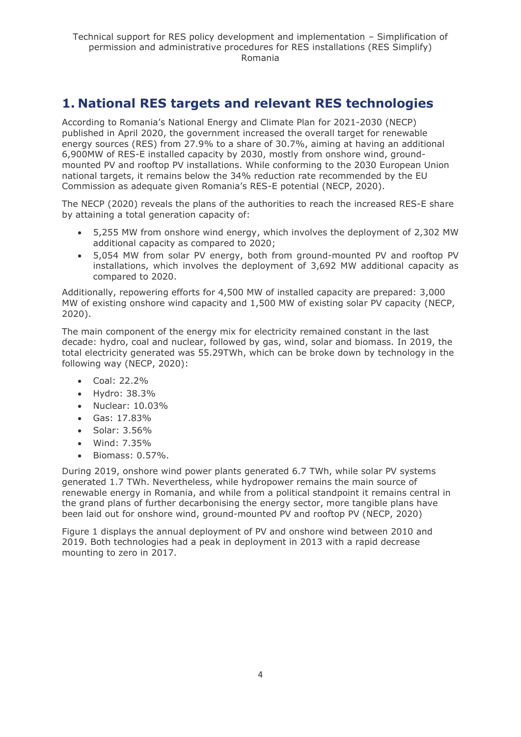## <span id="page-3-0"></span>**1. National RES targets and relevant RES technologies**

According to Romania's National Energy and Climate Plan for 2021-2030 (NECP) published in April 2020, the government increased the overall target for renewable energy sources (RES) from 27.9% to a share of 30.7%, aiming at having an additional 6,900MW of RES-E installed capacity by 2030, mostly from onshore wind, groundmounted PV and rooftop PV installations. While conforming to the 2030 European Union national targets, it remains below the 34% reduction rate recommended by the EU Commission as adequate given Romania's RES-E potential (NECP, 2020).

The NECP (2020) reveals the plans of the authorities to reach the increased RES-E share by attaining a total generation capacity of:

- 5,255 MW from onshore wind energy, which involves the deployment of 2,302 MW additional capacity as compared to 2020;
- 5,054 MW from solar PV energy, both from ground-mounted PV and rooftop PV installations, which involves the deployment of 3,692 MW additional capacity as compared to 2020.

Additionally, repowering efforts for 4,500 MW of installed capacity are prepared: 3,000 MW of existing onshore wind capacity and 1,500 MW of existing solar PV capacity (NECP, 2020).

The main component of the energy mix for electricity remained constant in the last decade: hydro, coal and nuclear, followed by gas, wind, solar and biomass. In 2019, the total electricity generated was 55.29TWh, which can be broke down by technology in the following way (NECP, 2020):

- Coal: 22.2%
- Hydro: 38.3%
- Nuclear: 10.03%
- Gas: 17.83%
- Solar: 3.56%
- Wind: 7.35%
- Biomass: 0.57%.

During 2019, onshore wind power plants generated 6.7 TWh, while solar PV systems generated 1.7 TWh. Nevertheless, while hydropower remains the main source of renewable energy in Romania, and while from a political standpoint it remains central in the grand plans of further decarbonising the energy sector, more tangible plans have been laid out for onshore wind, ground-mounted PV and rooftop PV (NECP, 2020)

Figure 1 displays the annual deployment of PV and onshore wind between 2010 and 2019. Both technologies had a peak in deployment in 2013 with a rapid decrease mounting to zero in 2017.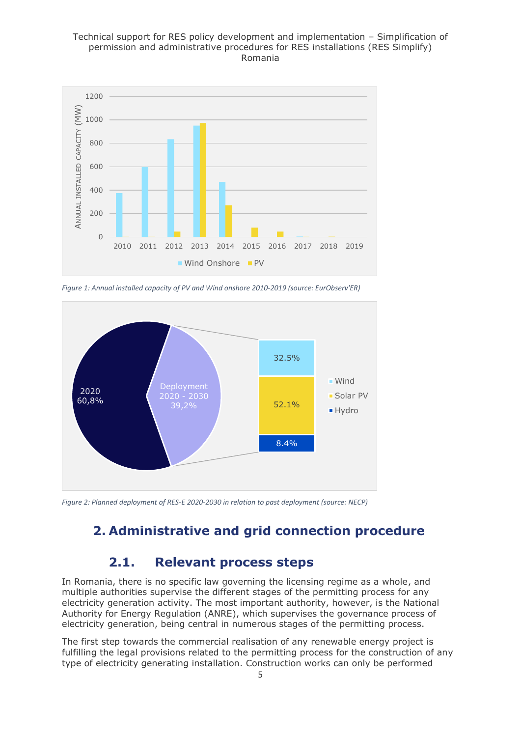

*Figure 1: Annual installed capacity of PV and Wind onshore 2010-2019 (source: EurObserv'ER)*



<span id="page-4-0"></span>*Figure 2: Planned deployment of RES-E 2020-2030 in relation to past deployment (source: NECP)*

### **2. Administrative and grid connection procedure**

### **2.1. Relevant process steps**

<span id="page-4-1"></span>In Romania, there is no specific law governing the licensing regime as a whole, and multiple authorities supervise the different stages of the permitting process for any electricity generation activity. The most important authority, however, is the National Authority for Energy Regulation (ANRE), which supervises the governance process of electricity generation, being central in numerous stages of the permitting process.

The first step towards the commercial realisation of any renewable energy project is fulfilling the legal provisions related to the permitting process for the construction of any type of electricity generating installation. Construction works can only be performed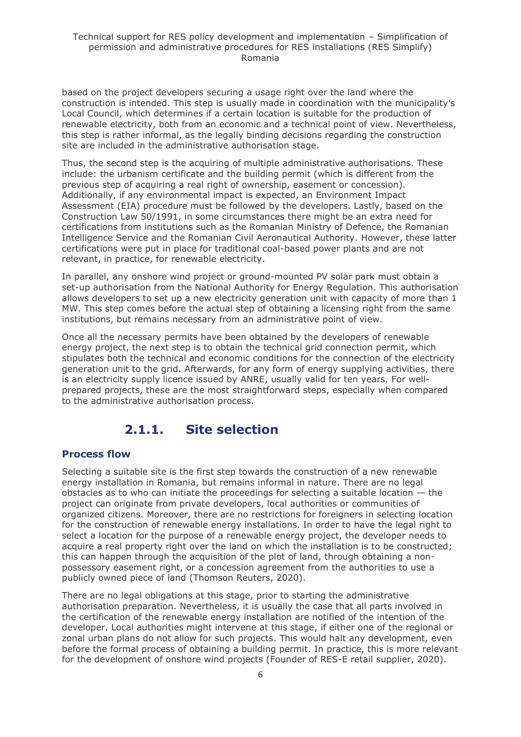based on the project developers securing a usage right over the land where the construction is intended. This step is usually made in coordination with the municipality's Local Council, which determines if a certain location is suitable for the production of renewable electricity, both from an economic and a technical point of view. Nevertheless, this step is rather informal, as the legally binding decisions regarding the construction site are included in the administrative authorisation stage.

Thus, the second step is the acquiring of multiple administrative authorisations. These include: the urbanism certificate and the building permit (which is different from the previous step of acquiring a real right of ownership, easement or concession). Additionally, if any environmental impact is expected, an Environment Impact Assessment (EIA) procedure must be followed by the developers. Lastly, based on the Construction Law 50/1991, in some circumstances there might be an extra need for certifications from institutions such as the Romanian Ministry of Defence, the Romanian Intelligence Service and the Romanian Civil Aeronautical Authority. However, these latter certifications were put in place for traditional coal-based power plants and are not relevant, in practice, for renewable electricity.

In parallel, any onshore wind project or ground-mounted PV solar park must obtain a set-up authorisation from the National Authority for Energy Regulation. This authorisation allows developers to set up a new electricity generation unit with capacity of more than 1 MW. This step comes before the actual step of obtaining a licensing right from the same institutions, but remains necessary from an administrative point of view.

Once all the necessary permits have been obtained by the developers of renewable energy project, the next step is to obtain the technical grid connection permit, which stipulates both the technical and economic conditions for the connection of the electricity generation unit to the grid. Afterwards, for any form of energy supplying activities, there is an electricity supply licence issued by ANRE, usually valid for ten years. For wellprepared projects, these are the most straightforward steps, especially when compared to the administrative authorisation process.

### **2.1.1. Site selection**

#### <span id="page-5-0"></span>**Process flow**

Selecting a suitable site is the first step towards the construction of a new renewable energy installation in Romania, but remains informal in nature. There are no legal obstacles as to who can initiate the proceedings for selecting a suitable location — the project can originate from private developers, local authorities or communities of organized citizens. Moreover, there are no restrictions for foreigners in selecting location for the construction of renewable energy installations. In order to have the legal right to select a location for the purpose of a renewable energy project, the developer needs to acquire a real property right over the land on which the installation is to be constructed; this can happen through the acquisition of the plot of land, through obtaining a nonpossessory easement right, or a concession agreement from the authorities to use a publicly owned piece of land (Thomson Reuters, 2020).

There are no legal obligations at this stage, prior to starting the administrative authorisation preparation. Nevertheless, it is usually the case that all parts involved in the certification of the renewable energy installation are notified of the intention of the developer. Local authorities might intervene at this stage, if either one of the regional or zonal urban plans do not allow for such projects. This would halt any development, even before the formal process of obtaining a building permit. In practice, this is more relevant for the development of onshore wind projects (Founder of RES-E retail supplier, 2020).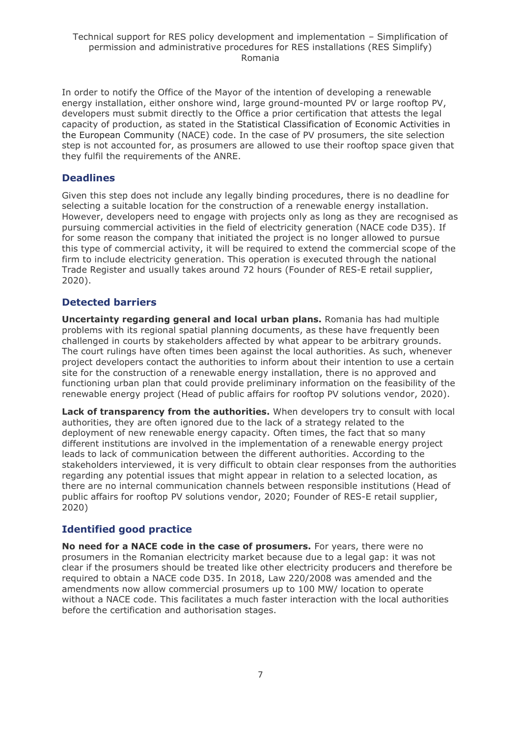In order to notify the Office of the Mayor of the intention of developing a renewable energy installation, either onshore wind, large ground-mounted PV or large rooftop PV, developers must submit directly to the Office a prior certification that attests the legal capacity of production, as stated in the Statistical Classification of Economic Activities in the European Community (NACE) code. In the case of PV prosumers, the site selection step is not accounted for, as prosumers are allowed to use their rooftop space given that they fulfil the requirements of the ANRE.

#### **Deadlines**

Given this step does not include any legally binding procedures, there is no deadline for selecting a suitable location for the construction of a renewable energy installation. However, developers need to engage with projects only as long as they are recognised as pursuing commercial activities in the field of electricity generation (NACE code D35). If for some reason the company that initiated the project is no longer allowed to pursue this type of commercial activity, it will be required to extend the commercial scope of the firm to include electricity generation. This operation is executed through the national Trade Register and usually takes around 72 hours (Founder of RES-E retail supplier, 2020).

#### **Detected barriers**

**Uncertainty regarding general and local urban plans.** Romania has had multiple problems with its regional spatial planning documents, as these have frequently been challenged in courts by stakeholders affected by what appear to be arbitrary grounds. The court rulings have often times been against the local authorities. As such, whenever project developers contact the authorities to inform about their intention to use a certain site for the construction of a renewable energy installation, there is no approved and functioning urban plan that could provide preliminary information on the feasibility of the renewable energy project (Head of public affairs for rooftop PV solutions vendor, 2020).

**Lack of transparency from the authorities.** When developers try to consult with local authorities, they are often ignored due to the lack of a strategy related to the deployment of new renewable energy capacity. Often times, the fact that so many different institutions are involved in the implementation of a renewable energy project leads to lack of communication between the different authorities. According to the stakeholders interviewed, it is very difficult to obtain clear responses from the authorities regarding any potential issues that might appear in relation to a selected location, as there are no internal communication channels between responsible institutions (Head of public affairs for rooftop PV solutions vendor, 2020; Founder of RES-E retail supplier, 2020)

#### **Identified good practice**

**No need for a NACE code in the case of prosumers.** For years, there were no prosumers in the Romanian electricity market because due to a legal gap: it was not clear if the prosumers should be treated like other electricity producers and therefore be required to obtain a NACE code D35. In 2018, Law 220/2008 was amended and the amendments now allow commercial prosumers up to 100 MW/ location to operate without a NACE code. This facilitates a much faster interaction with the local authorities before the certification and authorisation stages.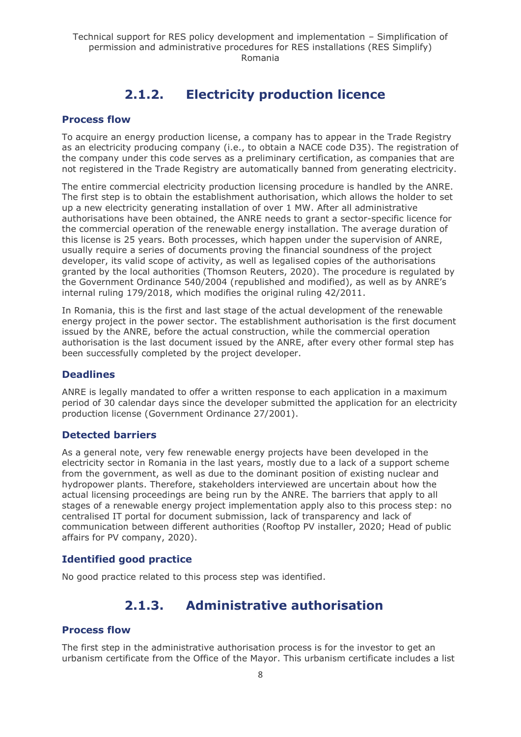# **2.1.2. Electricity production licence**

#### <span id="page-7-0"></span>**Process flow**

To acquire an energy production license, a company has to appear in the Trade Registry as an electricity producing company (i.e., to obtain a NACE code D35). The registration of the company under this code serves as a preliminary certification, as companies that are not registered in the Trade Registry are automatically banned from generating electricity.

The entire commercial electricity production licensing procedure is handled by the ANRE. The first step is to obtain the establishment authorisation, which allows the holder to set up a new electricity generating installation of over 1 MW. After all administrative authorisations have been obtained, the ANRE needs to grant a sector-specific licence for the commercial operation of the renewable energy installation. The average duration of this license is 25 years. Both processes, which happen under the supervision of ANRE, usually require a series of documents proving the financial soundness of the project developer, its valid scope of activity, as well as legalised copies of the authorisations granted by the local authorities (Thomson Reuters, 2020). The procedure is regulated by the Government Ordinance 540/2004 (republished and modified), as well as by ANRE's internal ruling 179/2018, which modifies the original ruling 42/2011.

In Romania, this is the first and last stage of the actual development of the renewable energy project in the power sector. The establishment authorisation is the first document issued by the ANRE, before the actual construction, while the commercial operation authorisation is the last document issued by the ANRE, after every other formal step has been successfully completed by the project developer.

#### **Deadlines**

ANRE is legally mandated to offer a written response to each application in a maximum period of 30 calendar days since the developer submitted the application for an electricity production license (Government Ordinance 27/2001).

#### **Detected barriers**

As a general note, very few renewable energy projects have been developed in the electricity sector in Romania in the last years, mostly due to a lack of a support scheme from the government, as well as due to the dominant position of existing nuclear and hydropower plants. Therefore, stakeholders interviewed are uncertain about how the actual licensing proceedings are being run by the ANRE. The barriers that apply to all stages of a renewable energy project implementation apply also to this process step: no centralised IT portal for document submission, lack of transparency and lack of communication between different authorities (Rooftop PV installer, 2020; Head of public affairs for PV company, 2020).

#### **Identified good practice**

<span id="page-7-1"></span>No good practice related to this process step was identified.

### **2.1.3. Administrative authorisation**

#### **Process flow**

The first step in the administrative authorisation process is for the investor to get an urbanism certificate from the Office of the Mayor. This urbanism certificate includes a list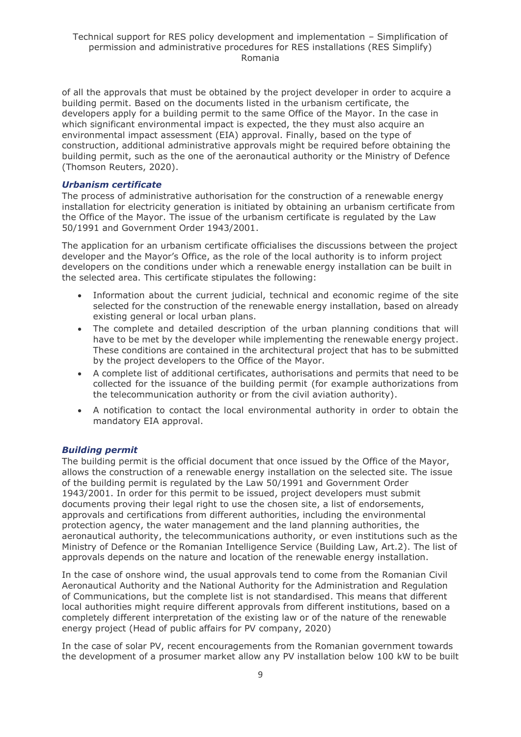of all the approvals that must be obtained by the project developer in order to acquire a building permit. Based on the documents listed in the urbanism certificate, the developers apply for a building permit to the same Office of the Mayor. In the case in which significant environmental impact is expected, the they must also acquire an environmental impact assessment (EIA) approval. Finally, based on the type of construction, additional administrative approvals might be required before obtaining the building permit, such as the one of the aeronautical authority or the Ministry of Defence (Thomson Reuters, 2020).

#### *Urbanism certificate*

The process of administrative authorisation for the construction of a renewable energy installation for electricity generation is initiated by obtaining an urbanism certificate from the Office of the Mayor. The issue of the urbanism certificate is regulated by the Law 50/1991 and Government Order 1943/2001.

The application for an urbanism certificate officialises the discussions between the project developer and the Mayor's Office, as the role of the local authority is to inform project developers on the conditions under which a renewable energy installation can be built in the selected area. This certificate stipulates the following:

- Information about the current judicial, technical and economic regime of the site selected for the construction of the renewable energy installation, based on already existing general or local urban plans.
- The complete and detailed description of the urban planning conditions that will have to be met by the developer while implementing the renewable energy project. These conditions are contained in the architectural project that has to be submitted by the project developers to the Office of the Mayor.
- A complete list of additional certificates, authorisations and permits that need to be collected for the issuance of the building permit (for example authorizations from the telecommunication authority or from the civil aviation authority).
- A notification to contact the local environmental authority in order to obtain the mandatory EIA approval.

#### *Building permit*

The building permit is the official document that once issued by the Office of the Mayor, allows the construction of a renewable energy installation on the selected site. The issue of the building permit is regulated by the Law 50/1991 and Government Order 1943/2001. In order for this permit to be issued, project developers must submit documents proving their legal right to use the chosen site, a list of endorsements, approvals and certifications from different authorities, including the environmental protection agency, the water management and the land planning authorities, the aeronautical authority, the telecommunications authority, or even institutions such as the Ministry of Defence or the Romanian Intelligence Service (Building Law, Art.2). The list of approvals depends on the nature and location of the renewable energy installation.

In the case of onshore wind, the usual approvals tend to come from the Romanian Civil Aeronautical Authority and the National Authority for the Administration and Regulation of Communications, but the complete list is not standardised. This means that different local authorities might require different approvals from different institutions, based on a completely different interpretation of the existing law or of the nature of the renewable energy project (Head of public affairs for PV company, 2020)

In the case of solar PV, recent encouragements from the Romanian government towards the development of a prosumer market allow any PV installation below 100 kW to be built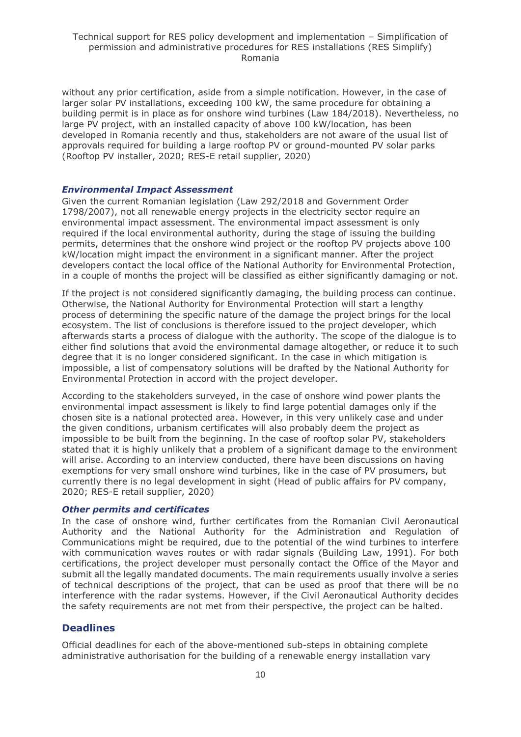without any prior certification, aside from a simple notification. However, in the case of larger solar PV installations, exceeding 100 kW, the same procedure for obtaining a building permit is in place as for onshore wind turbines (Law 184/2018). Nevertheless, no large PV project, with an installed capacity of above 100 kW/location, has been developed in Romania recently and thus, stakeholders are not aware of the usual list of approvals required for building a large rooftop PV or ground-mounted PV solar parks (Rooftop PV installer, 2020; RES-E retail supplier, 2020)

#### *Environmental Impact Assessment*

Given the current Romanian legislation (Law 292/2018 and Government Order 1798/2007), not all renewable energy projects in the electricity sector require an environmental impact assessment. The environmental impact assessment is only required if the local environmental authority, during the stage of issuing the building permits, determines that the onshore wind project or the rooftop PV projects above 100 kW/location might impact the environment in a significant manner. After the project developers contact the local office of the National Authority for Environmental Protection, in a couple of months the project will be classified as either significantly damaging or not.

If the project is not considered significantly damaging, the building process can continue. Otherwise, the National Authority for Environmental Protection will start a lengthy process of determining the specific nature of the damage the project brings for the local ecosystem. The list of conclusions is therefore issued to the project developer, which afterwards starts a process of dialogue with the authority. The scope of the dialogue is to either find solutions that avoid the environmental damage altogether, or reduce it to such degree that it is no longer considered significant. In the case in which mitigation is impossible, a list of compensatory solutions will be drafted by the National Authority for Environmental Protection in accord with the project developer.

According to the stakeholders surveyed, in the case of onshore wind power plants the environmental impact assessment is likely to find large potential damages only if the chosen site is a national protected area. However, in this very unlikely case and under the given conditions, urbanism certificates will also probably deem the project as impossible to be built from the beginning. In the case of rooftop solar PV, stakeholders stated that it is highly unlikely that a problem of a significant damage to the environment will arise. According to an interview conducted, there have been discussions on having exemptions for very small onshore wind turbines, like in the case of PV prosumers, but currently there is no legal development in sight (Head of public affairs for PV company, 2020; RES-E retail supplier, 2020)

#### *Other permits and certificates*

In the case of onshore wind, further certificates from the Romanian Civil Aeronautical Authority and the National Authority for the Administration and Regulation of Communications might be required, due to the potential of the wind turbines to interfere with communication waves routes or with radar signals (Building Law, 1991). For both certifications, the project developer must personally contact the Office of the Mayor and submit all the legally mandated documents. The main requirements usually involve a series of technical descriptions of the project, that can be used as proof that there will be no interference with the radar systems. However, if the Civil Aeronautical Authority decides the safety requirements are not met from their perspective, the project can be halted.

#### **Deadlines**

Official deadlines for each of the above-mentioned sub-steps in obtaining complete administrative authorisation for the building of a renewable energy installation vary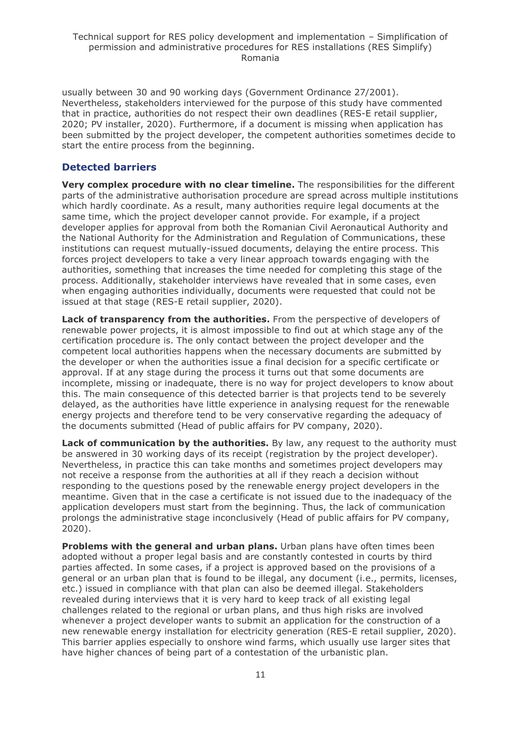usually between 30 and 90 working days (Government Ordinance 27/2001). Nevertheless, stakeholders interviewed for the purpose of this study have commented that in practice, authorities do not respect their own deadlines (RES-E retail supplier, 2020; PV installer, 2020). Furthermore, if a document is missing when application has been submitted by the project developer, the competent authorities sometimes decide to start the entire process from the beginning.

#### **Detected barriers**

**Very complex procedure with no clear timeline.** The responsibilities for the different parts of the administrative authorisation procedure are spread across multiple institutions which hardly coordinate. As a result, many authorities require legal documents at the same time, which the project developer cannot provide. For example, if a project developer applies for approval from both the Romanian Civil Aeronautical Authority and the National Authority for the Administration and Regulation of Communications, these institutions can request mutually-issued documents, delaying the entire process. This forces project developers to take a very linear approach towards engaging with the authorities, something that increases the time needed for completing this stage of the process. Additionally, stakeholder interviews have revealed that in some cases, even when engaging authorities individually, documents were requested that could not be issued at that stage (RES-E retail supplier, 2020).

**Lack of transparency from the authorities.** From the perspective of developers of renewable power projects, it is almost impossible to find out at which stage any of the certification procedure is. The only contact between the project developer and the competent local authorities happens when the necessary documents are submitted by the developer or when the authorities issue a final decision for a specific certificate or approval. If at any stage during the process it turns out that some documents are incomplete, missing or inadequate, there is no way for project developers to know about this. The main consequence of this detected barrier is that projects tend to be severely delayed, as the authorities have little experience in analysing request for the renewable energy projects and therefore tend to be very conservative regarding the adequacy of the documents submitted (Head of public affairs for PV company, 2020).

**Lack of communication by the authorities.** By law, any request to the authority must be answered in 30 working days of its receipt (registration by the project developer). Nevertheless, in practice this can take months and sometimes project developers may not receive a response from the authorities at all if they reach a decision without responding to the questions posed by the renewable energy project developers in the meantime. Given that in the case a certificate is not issued due to the inadequacy of the application developers must start from the beginning. Thus, the lack of communication prolongs the administrative stage inconclusively (Head of public affairs for PV company, 2020).

**Problems with the general and urban plans.** Urban plans have often times been adopted without a proper legal basis and are constantly contested in courts by third parties affected. In some cases, if a project is approved based on the provisions of a general or an urban plan that is found to be illegal, any document (i.e., permits, licenses, etc.) issued in compliance with that plan can also be deemed illegal. Stakeholders revealed during interviews that it is very hard to keep track of all existing legal challenges related to the regional or urban plans, and thus high risks are involved whenever a project developer wants to submit an application for the construction of a new renewable energy installation for electricity generation (RES-E retail supplier, 2020). This barrier applies especially to onshore wind farms, which usually use larger sites that have higher chances of being part of a contestation of the urbanistic plan.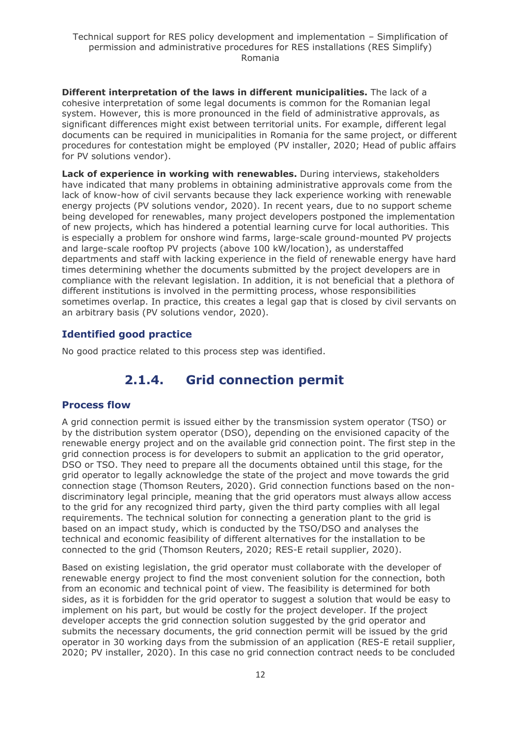**Different interpretation of the laws in different municipalities.** The lack of a cohesive interpretation of some legal documents is common for the Romanian legal system. However, this is more pronounced in the field of administrative approvals, as significant differences might exist between territorial units. For example, different legal documents can be required in municipalities in Romania for the same project, or different procedures for contestation might be employed (PV installer, 2020; Head of public affairs for PV solutions vendor).

**Lack of experience in working with renewables.** During interviews, stakeholders have indicated that many problems in obtaining administrative approvals come from the lack of know-how of civil servants because they lack experience working with renewable energy projects (PV solutions vendor, 2020). In recent years, due to no support scheme being developed for renewables, many project developers postponed the implementation of new projects, which has hindered a potential learning curve for local authorities. This is especially a problem for onshore wind farms, large-scale ground-mounted PV projects and large-scale rooftop PV projects (above 100 kW/location), as understaffed departments and staff with lacking experience in the field of renewable energy have hard times determining whether the documents submitted by the project developers are in compliance with the relevant legislation. In addition, it is not beneficial that a plethora of different institutions is involved in the permitting process, whose responsibilities sometimes overlap. In practice, this creates a legal gap that is closed by civil servants on an arbitrary basis (PV solutions vendor, 2020).

#### **Identified good practice**

<span id="page-11-0"></span>No good practice related to this process step was identified.

### **2.1.4. Grid connection permit**

#### **Process flow**

A grid connection permit is issued either by the transmission system operator (TSO) or by the distribution system operator (DSO), depending on the envisioned capacity of the renewable energy project and on the available grid connection point. The first step in the grid connection process is for developers to submit an application to the grid operator, DSO or TSO. They need to prepare all the documents obtained until this stage, for the grid operator to legally acknowledge the state of the project and move towards the grid connection stage (Thomson Reuters, 2020). Grid connection functions based on the nondiscriminatory legal principle, meaning that the grid operators must always allow access to the grid for any recognized third party, given the third party complies with all legal requirements. The technical solution for connecting a generation plant to the grid is based on an impact study, which is conducted by the TSO/DSO and analyses the technical and economic feasibility of different alternatives for the installation to be connected to the grid (Thomson Reuters, 2020; RES-E retail supplier, 2020).

Based on existing legislation, the grid operator must collaborate with the developer of renewable energy project to find the most convenient solution for the connection, both from an economic and technical point of view. The feasibility is determined for both sides, as it is forbidden for the grid operator to suggest a solution that would be easy to implement on his part, but would be costly for the project developer. If the project developer accepts the grid connection solution suggested by the grid operator and submits the necessary documents, the grid connection permit will be issued by the grid operator in 30 working days from the submission of an application (RES-E retail supplier, 2020; PV installer, 2020). In this case no grid connection contract needs to be concluded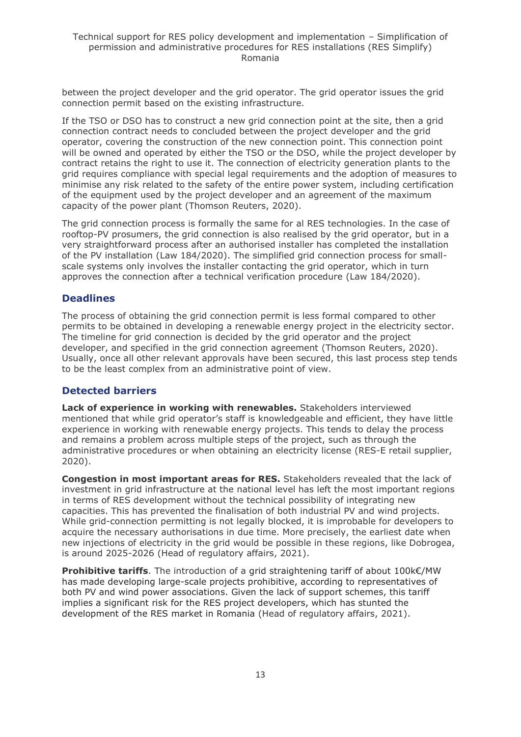between the project developer and the grid operator. The grid operator issues the grid connection permit based on the existing infrastructure.

If the TSO or DSO has to construct a new grid connection point at the site, then a grid connection contract needs to concluded between the project developer and the grid operator, covering the construction of the new connection point. This connection point will be owned and operated by either the TSO or the DSO, while the project developer by contract retains the right to use it. The connection of electricity generation plants to the grid requires compliance with special legal requirements and the adoption of measures to minimise any risk related to the safety of the entire power system, including certification of the equipment used by the project developer and an agreement of the maximum capacity of the power plant (Thomson Reuters, 2020).

The grid connection process is formally the same for al RES technologies. In the case of rooftop-PV prosumers, the grid connection is also realised by the grid operator, but in a very straightforward process after an authorised installer has completed the installation of the PV installation (Law 184/2020). The simplified grid connection process for smallscale systems only involves the installer contacting the grid operator, which in turn approves the connection after a technical verification procedure (Law 184/2020).

#### **Deadlines**

The process of obtaining the grid connection permit is less formal compared to other permits to be obtained in developing a renewable energy project in the electricity sector. The timeline for grid connection is decided by the grid operator and the project developer, and specified in the grid connection agreement (Thomson Reuters, 2020). Usually, once all other relevant approvals have been secured, this last process step tends to be the least complex from an administrative point of view.

#### **Detected barriers**

**Lack of experience in working with renewables.** Stakeholders interviewed mentioned that while grid operator's staff is knowledgeable and efficient, they have little experience in working with renewable energy projects. This tends to delay the process and remains a problem across multiple steps of the project, such as through the administrative procedures or when obtaining an electricity license (RES-E retail supplier, 2020).

**Congestion in most important areas for RES.** Stakeholders revealed that the lack of investment in grid infrastructure at the national level has left the most important regions in terms of RES development without the technical possibility of integrating new capacities. This has prevented the finalisation of both industrial PV and wind projects. While grid-connection permitting is not legally blocked, it is improbable for developers to acquire the necessary authorisations in due time. More precisely, the earliest date when new injections of electricity in the grid would be possible in these regions, like Dobrogea, is around 2025-2026 (Head of regulatory affairs, 2021).

**Prohibitive tariffs**. The introduction of a grid straightening tariff of about 100k€/MW has made developing large-scale projects prohibitive, according to representatives of both PV and wind power associations. Given the lack of support schemes, this tariff implies a significant risk for the RES project developers, which has stunted the development of the RES market in Romania (Head of regulatory affairs, 2021).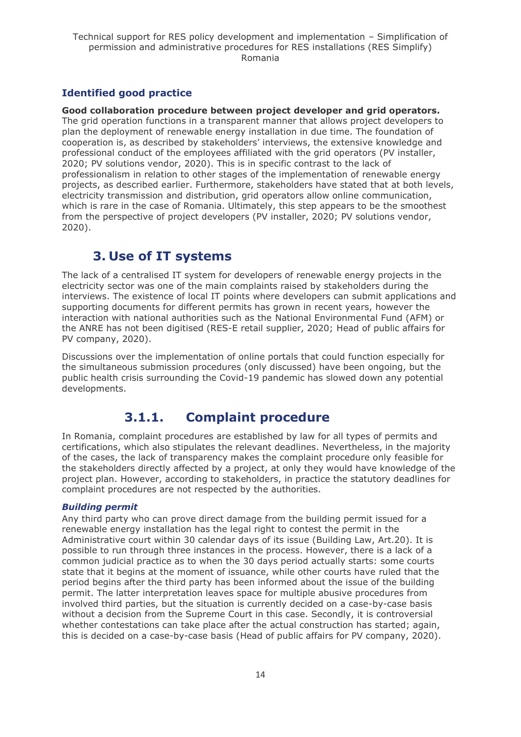### **Identified good practice**

**Good collaboration procedure between project developer and grid operators.** The grid operation functions in a transparent manner that allows project developers to plan the deployment of renewable energy installation in due time. The foundation of cooperation is, as described by stakeholders' interviews, the extensive knowledge and professional conduct of the employees affiliated with the grid operators (PV installer, 2020; PV solutions vendor, 2020). This is in specific contrast to the lack of professionalism in relation to other stages of the implementation of renewable energy projects, as described earlier. Furthermore, stakeholders have stated that at both levels, electricity transmission and distribution, grid operators allow online communication, which is rare in the case of Romania. Ultimately, this step appears to be the smoothest from the perspective of project developers (PV installer, 2020; PV solutions vendor, 2020).

### **3. Use of IT systems**

<span id="page-13-0"></span>The lack of a centralised IT system for developers of renewable energy projects in the electricity sector was one of the main complaints raised by stakeholders during the interviews. The existence of local IT points where developers can submit applications and supporting documents for different permits has grown in recent years, however the interaction with national authorities such as the National Environmental Fund (AFM) or the ANRE has not been digitised (RES-E retail supplier, 2020; Head of public affairs for PV company, 2020).

Discussions over the implementation of online portals that could function especially for the simultaneous submission procedures (only discussed) have been ongoing, but the public health crisis surrounding the Covid-19 pandemic has slowed down any potential developments.

# **3.1.1. Complaint procedure**

<span id="page-13-1"></span>In Romania, complaint procedures are established by law for all types of permits and certifications, which also stipulates the relevant deadlines. Nevertheless, in the majority of the cases, the lack of transparency makes the complaint procedure only feasible for the stakeholders directly affected by a project, at only they would have knowledge of the project plan. However, according to stakeholders, in practice the statutory deadlines for complaint procedures are not respected by the authorities.

#### *Building permit*

Any third party who can prove direct damage from the building permit issued for a renewable energy installation has the legal right to contest the permit in the Administrative court within 30 calendar days of its issue (Building Law, Art.20). It is possible to run through three instances in the process. However, there is a lack of a common judicial practice as to when the 30 days period actually starts: some courts state that it begins at the moment of issuance, while other courts have ruled that the period begins after the third party has been informed about the issue of the building permit. The latter interpretation leaves space for multiple abusive procedures from involved third parties, but the situation is currently decided on a case-by-case basis without a decision from the Supreme Court in this case. Secondly, it is controversial whether contestations can take place after the actual construction has started; again, this is decided on a case-by-case basis (Head of public affairs for PV company, 2020).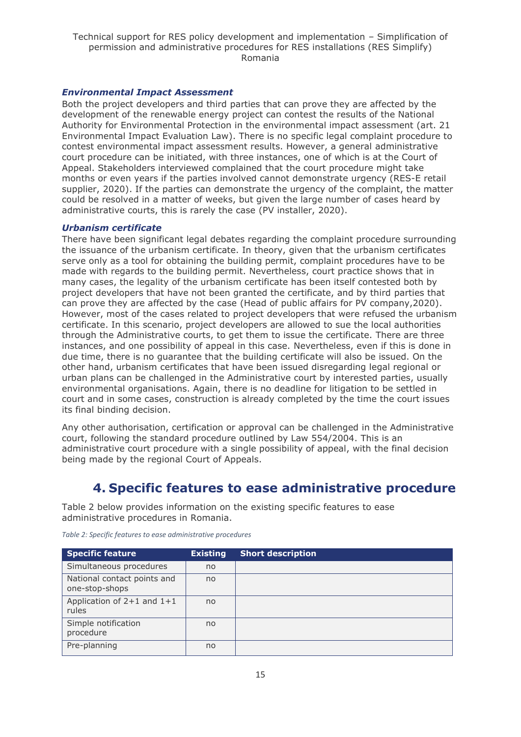#### *Environmental Impact Assessment*

Both the project developers and third parties that can prove they are affected by the development of the renewable energy project can contest the results of the National Authority for Environmental Protection in the environmental impact assessment (art. 21 Environmental Impact Evaluation Law). There is no specific legal complaint procedure to contest environmental impact assessment results. However, a general administrative court procedure can be initiated, with three instances, one of which is at the Court of Appeal. Stakeholders interviewed complained that the court procedure might take months or even years if the parties involved cannot demonstrate urgency (RES-E retail supplier, 2020). If the parties can demonstrate the urgency of the complaint, the matter could be resolved in a matter of weeks, but given the large number of cases heard by administrative courts, this is rarely the case (PV installer, 2020).

#### *Urbanism certificate*

There have been significant legal debates regarding the complaint procedure surrounding the issuance of the urbanism certificate. In theory, given that the urbanism certificates serve only as a tool for obtaining the building permit, complaint procedures have to be made with regards to the building permit. Nevertheless, court practice shows that in many cases, the legality of the urbanism certificate has been itself contested both by project developers that have not been granted the certificate, and by third parties that can prove they are affected by the case (Head of public affairs for PV company,2020). However, most of the cases related to project developers that were refused the urbanism certificate. In this scenario, project developers are allowed to sue the local authorities through the Administrative courts, to get them to issue the certificate. There are three instances, and one possibility of appeal in this case. Nevertheless, even if this is done in due time, there is no guarantee that the building certificate will also be issued. On the other hand, urbanism certificates that have been issued disregarding legal regional or urban plans can be challenged in the Administrative court by interested parties, usually environmental organisations. Again, there is no deadline for litigation to be settled in court and in some cases, construction is already completed by the time the court issues its final binding decision.

Any other authorisation, certification or approval can be challenged in the Administrative court, following the standard procedure outlined by Law 554/2004. This is an administrative court procedure with a single possibility of appeal, with the final decision being made by the regional Court of Appeals.

### **4. Specific features to ease administrative procedure**

<span id="page-14-0"></span>Table 2 below provides information on the existing specific features to ease administrative procedures in Romania.

| <b>Specific feature</b>                       | <b>Existing</b> | <b>Short description</b> |
|-----------------------------------------------|-----------------|--------------------------|
| Simultaneous procedures                       | no              |                          |
| National contact points and<br>one-stop-shops | no              |                          |
| Application of $2+1$ and $1+1$<br>rules       | no              |                          |
| Simple notification<br>procedure              | no              |                          |
| Pre-planning                                  | no              |                          |

*Table 2: Specific features to ease administrative procedures*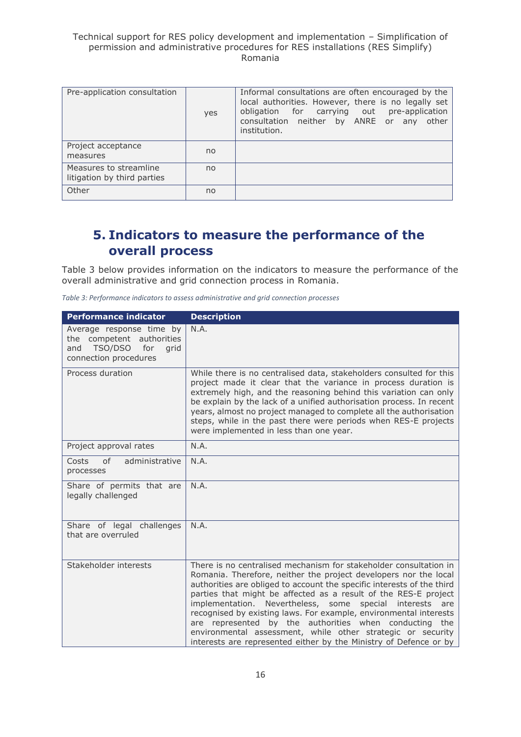| Pre-application consultation                          | yes | Informal consultations are often encouraged by the<br>local authorities. However, there is no legally set<br>obligation for carrying out pre-application<br>consultation neither by ANRE or any other<br>institution. |
|-------------------------------------------------------|-----|-----------------------------------------------------------------------------------------------------------------------------------------------------------------------------------------------------------------------|
| Project acceptance<br>measures                        | no  |                                                                                                                                                                                                                       |
| Measures to streamline<br>litigation by third parties | no  |                                                                                                                                                                                                                       |
| Other                                                 | no  |                                                                                                                                                                                                                       |

## <span id="page-15-0"></span>**5. Indicators to measure the performance of the overall process**

Table 3 below provides information on the indicators to measure the performance of the overall administrative and grid connection process in Romania.

| Table 3: Performance indicators to assess administrative and grid connection processes |  |  |  |
|----------------------------------------------------------------------------------------|--|--|--|
|----------------------------------------------------------------------------------------|--|--|--|

| <b>Performance indicator</b>                                                                                    | <b>Description</b>                                                                                                                                                                                                                                                                                                                                                                                                                                                                                                                                                                                                   |
|-----------------------------------------------------------------------------------------------------------------|----------------------------------------------------------------------------------------------------------------------------------------------------------------------------------------------------------------------------------------------------------------------------------------------------------------------------------------------------------------------------------------------------------------------------------------------------------------------------------------------------------------------------------------------------------------------------------------------------------------------|
| Average response time by<br>the competent authorities<br>TSO/DSO<br>for<br>and<br>grid<br>connection procedures | N.A.                                                                                                                                                                                                                                                                                                                                                                                                                                                                                                                                                                                                                 |
| Process duration                                                                                                | While there is no centralised data, stakeholders consulted for this<br>project made it clear that the variance in process duration is<br>extremely high, and the reasoning behind this variation can only<br>be explain by the lack of a unified authorisation process. In recent<br>years, almost no project managed to complete all the authorisation<br>steps, while in the past there were periods when RES-E projects<br>were implemented in less than one year.                                                                                                                                                |
| Project approval rates                                                                                          | N.A.                                                                                                                                                                                                                                                                                                                                                                                                                                                                                                                                                                                                                 |
| <sub>of</sub><br>administrative<br>Costs<br>processes                                                           | N.A.                                                                                                                                                                                                                                                                                                                                                                                                                                                                                                                                                                                                                 |
| Share of permits that are<br>legally challenged                                                                 | N.A.                                                                                                                                                                                                                                                                                                                                                                                                                                                                                                                                                                                                                 |
| Share of legal challenges<br>that are overruled                                                                 | N.A.                                                                                                                                                                                                                                                                                                                                                                                                                                                                                                                                                                                                                 |
| Stakeholder interests                                                                                           | There is no centralised mechanism for stakeholder consultation in<br>Romania. Therefore, neither the project developers nor the local<br>authorities are obliged to account the specific interests of the third<br>parties that might be affected as a result of the RES-E project<br>implementation. Nevertheless, some special interests<br>are<br>recognised by existing laws. For example, environmental interests<br>are represented by the authorities when conducting the<br>environmental assessment, while other strategic or security<br>interests are represented either by the Ministry of Defence or by |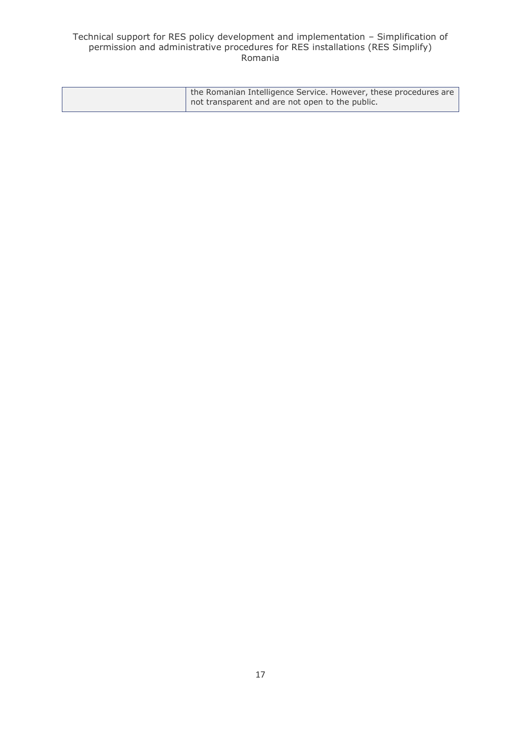| the Romanian Intelligence Service. However, these procedures are |
|------------------------------------------------------------------|
| not transparent and are not open to the public.                  |